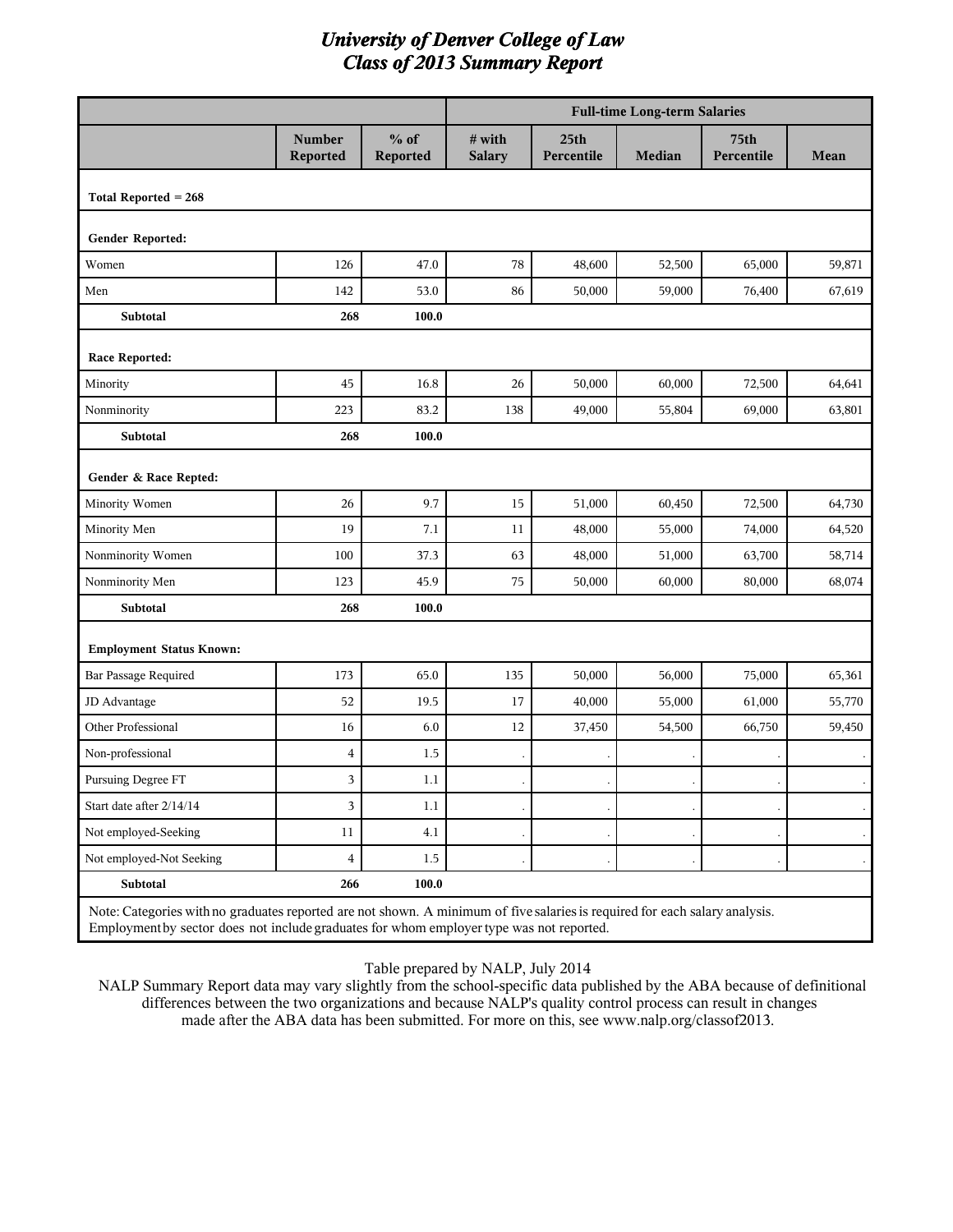|                                                                                                                                                                                                                         |                           |                    | <b>Full-time Long-term Salaries</b> |                                |               |                    |        |  |  |
|-------------------------------------------------------------------------------------------------------------------------------------------------------------------------------------------------------------------------|---------------------------|--------------------|-------------------------------------|--------------------------------|---------------|--------------------|--------|--|--|
|                                                                                                                                                                                                                         | <b>Number</b><br>Reported | $%$ of<br>Reported | # with<br><b>Salary</b>             | 25 <sub>th</sub><br>Percentile | <b>Median</b> | 75th<br>Percentile | Mean   |  |  |
| Total Reported $= 268$                                                                                                                                                                                                  |                           |                    |                                     |                                |               |                    |        |  |  |
| Gender Reported:                                                                                                                                                                                                        |                           |                    |                                     |                                |               |                    |        |  |  |
| Women                                                                                                                                                                                                                   | 126                       | 47.0               | 78                                  | 48,600                         | 52,500        | 65,000             | 59,871 |  |  |
| Men                                                                                                                                                                                                                     | 142                       | 53.0               | 86                                  | 50,000                         | 59,000        | 76,400             | 67,619 |  |  |
| <b>Subtotal</b>                                                                                                                                                                                                         | 268                       | 100.0              |                                     |                                |               |                    |        |  |  |
| Race Reported:                                                                                                                                                                                                          |                           |                    |                                     |                                |               |                    |        |  |  |
| Minority                                                                                                                                                                                                                | 45                        | 16.8               | 26                                  | 50,000                         | 60,000        | 72,500             | 64,641 |  |  |
| Nonminority                                                                                                                                                                                                             | 223                       | 83.2               | 138                                 | 49,000                         | 55,804        | 69,000             | 63,801 |  |  |
| <b>Subtotal</b>                                                                                                                                                                                                         | 268                       | 100.0              |                                     |                                |               |                    |        |  |  |
| Gender & Race Repted:                                                                                                                                                                                                   |                           |                    |                                     |                                |               |                    |        |  |  |
| Minority Women                                                                                                                                                                                                          | 26                        | 9.7                | 15                                  | 51,000                         | 60,450        | 72,500             | 64,730 |  |  |
| Minority Men                                                                                                                                                                                                            | 19                        | 7.1                | 11                                  | 48,000                         | 55,000        | 74,000             | 64,520 |  |  |
| Nonminority Women                                                                                                                                                                                                       | 100                       | 37.3               | 63                                  | 48,000                         | 51,000        | 63,700             | 58,714 |  |  |
| Nonminority Men                                                                                                                                                                                                         | 123                       | 45.9               | 75                                  | 50,000                         | 60,000        | 80,000             | 68,074 |  |  |
| Subtotal                                                                                                                                                                                                                | 268                       | 100.0              |                                     |                                |               |                    |        |  |  |
| <b>Employment Status Known:</b>                                                                                                                                                                                         |                           |                    |                                     |                                |               |                    |        |  |  |
| Bar Passage Required                                                                                                                                                                                                    | 173                       | 65.0               | 135                                 | 50,000                         | 56,000        | 75,000             | 65,361 |  |  |
| JD Advantage                                                                                                                                                                                                            | 52                        | 19.5               | 17                                  | 40,000                         | 55,000        | 61,000             | 55,770 |  |  |
| Other Professional                                                                                                                                                                                                      | 16                        | 6.0                | 12                                  | 37,450                         | 54,500        | 66,750             | 59,450 |  |  |
| Non-professional                                                                                                                                                                                                        | $\overline{4}$            | 1.5                |                                     |                                |               |                    |        |  |  |
| Pursuing Degree FT                                                                                                                                                                                                      | 3                         | 1.1                |                                     |                                |               |                    |        |  |  |
| Start date after 2/14/14                                                                                                                                                                                                | 3                         | 1.1                |                                     |                                |               |                    |        |  |  |
| Not employed-Seeking                                                                                                                                                                                                    | 11                        | 4.1                |                                     |                                |               |                    |        |  |  |
| Not employed-Not Seeking                                                                                                                                                                                                | $\overline{\mathbf{4}}$   | 1.5                |                                     |                                |               |                    |        |  |  |
| Subtotal                                                                                                                                                                                                                | 266                       | 100.0              |                                     |                                |               |                    |        |  |  |
| Note: Categories with no graduates reported are not shown. A minimum of five salaries is required for each salary analysis.<br>Employment by sector does not include graduates for whom employer type was not reported. |                           |                    |                                     |                                |               |                    |        |  |  |

Table prepared by NALP, July 2014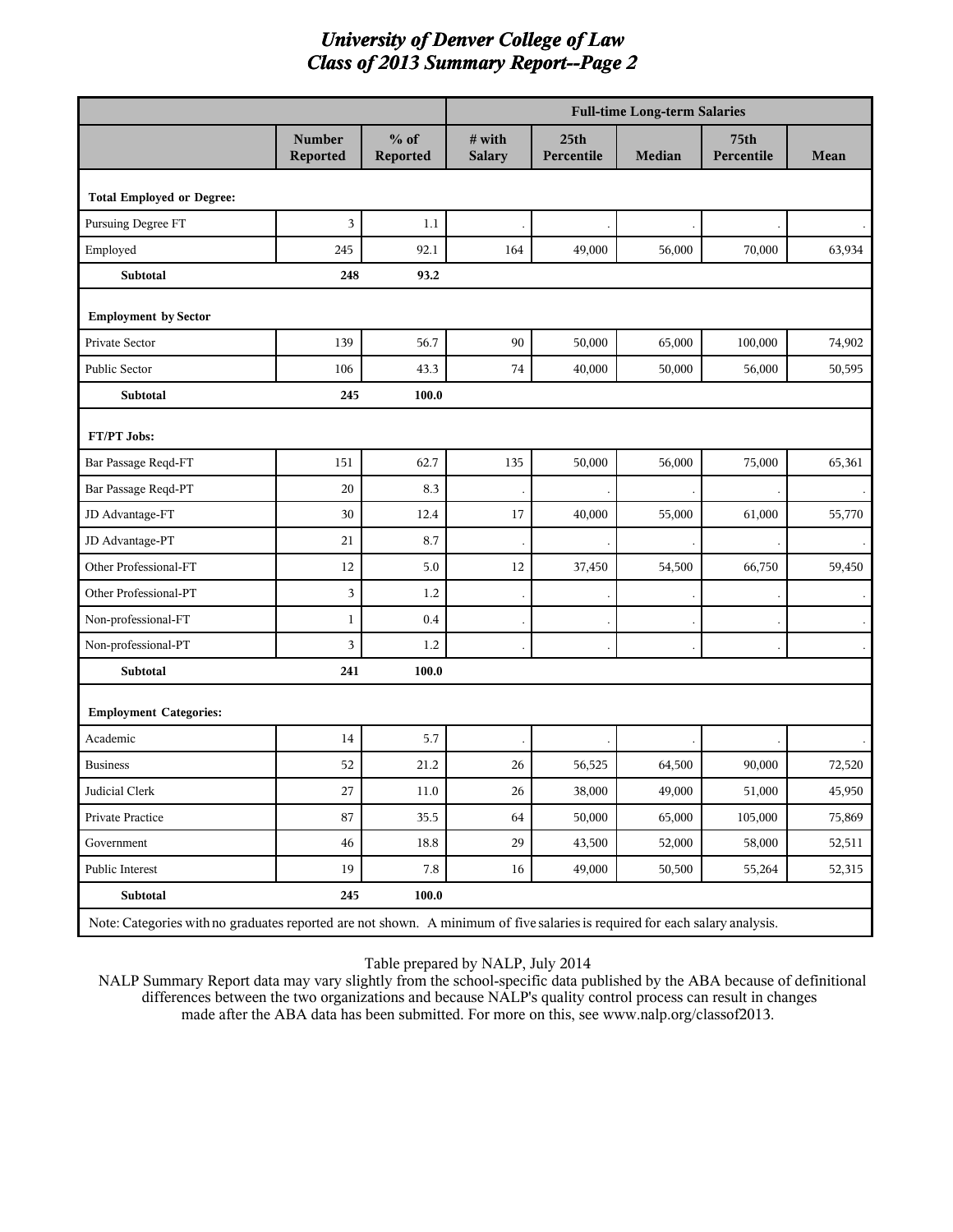|                                                                                                                             |                           |                    | <b>Full-time Long-term Salaries</b> |                                |        |                    |        |  |
|-----------------------------------------------------------------------------------------------------------------------------|---------------------------|--------------------|-------------------------------------|--------------------------------|--------|--------------------|--------|--|
|                                                                                                                             | <b>Number</b><br>Reported | $%$ of<br>Reported | # with<br><b>Salary</b>             | 25 <sub>th</sub><br>Percentile | Median | 75th<br>Percentile | Mean   |  |
| <b>Total Employed or Degree:</b>                                                                                            |                           |                    |                                     |                                |        |                    |        |  |
| Pursuing Degree FT                                                                                                          | 3                         | 1.1                |                                     |                                |        |                    |        |  |
| Employed                                                                                                                    | 245                       | 92.1               | 164                                 | 49,000                         | 56,000 | 70,000             | 63,934 |  |
| Subtotal                                                                                                                    | 248                       | 93.2               |                                     |                                |        |                    |        |  |
| <b>Employment by Sector</b>                                                                                                 |                           |                    |                                     |                                |        |                    |        |  |
| Private Sector                                                                                                              | 139                       | 56.7               | 90                                  | 50,000                         | 65,000 | 100,000            | 74,902 |  |
| Public Sector                                                                                                               | 106                       | 43.3               | $74\,$                              | 40,000                         | 50,000 | 56,000             | 50,595 |  |
| Subtotal                                                                                                                    | 245                       | 100.0              |                                     |                                |        |                    |        |  |
| FT/PT Jobs:                                                                                                                 |                           |                    |                                     |                                |        |                    |        |  |
| Bar Passage Reqd-FT                                                                                                         | 151                       | 62.7               | 135                                 | 50,000                         | 56,000 | 75,000             | 65,361 |  |
| Bar Passage Reqd-PT                                                                                                         | 20                        | 8.3                |                                     |                                |        |                    |        |  |
| JD Advantage-FT                                                                                                             | 30                        | 12.4               | 17                                  | 40,000                         | 55,000 | 61,000             | 55,770 |  |
| JD Advantage-PT                                                                                                             | 21                        | 8.7                |                                     |                                |        |                    |        |  |
| Other Professional-FT                                                                                                       | 12                        | 5.0                | 12                                  | 37,450                         | 54,500 | 66,750             | 59,450 |  |
| Other Professional-PT                                                                                                       | 3                         | 1.2                |                                     |                                |        |                    |        |  |
| Non-professional-FT                                                                                                         | $\mathbf{1}$              | 0.4                |                                     |                                |        |                    |        |  |
| Non-professional-PT                                                                                                         | 3                         | 1.2                |                                     |                                |        |                    |        |  |
| Subtotal                                                                                                                    | 241                       | 100.0              |                                     |                                |        |                    |        |  |
| <b>Employment Categories:</b>                                                                                               |                           |                    |                                     |                                |        |                    |        |  |
| Academic                                                                                                                    | 14                        | 5.7                |                                     |                                |        |                    |        |  |
| <b>Business</b>                                                                                                             | 52                        | 21.2               | 26                                  | 56,525                         | 64,500 | 90,000             | 72,520 |  |
| Judicial Clerk                                                                                                              | $27\,$                    | $11.0\,$           | $26\,$                              | 38,000                         | 49,000 | 51,000             | 45,950 |  |
| Private Practice                                                                                                            | 87                        | 35.5               | 64                                  | 50,000                         | 65,000 | 105,000            | 75,869 |  |
| Government                                                                                                                  | $\sqrt{46}$               | 18.8               | 29                                  | 43,500                         | 52,000 | 58,000             | 52,511 |  |
| Public Interest                                                                                                             | 19                        | 7.8                | 16                                  | 49,000                         | 50,500 | 55,264             | 52,315 |  |
| Subtotal                                                                                                                    | 245                       | 100.0              |                                     |                                |        |                    |        |  |
| Note: Categories with no graduates reported are not shown. A minimum of five salaries is required for each salary analysis. |                           |                    |                                     |                                |        |                    |        |  |

Table prepared by NALP, July 2014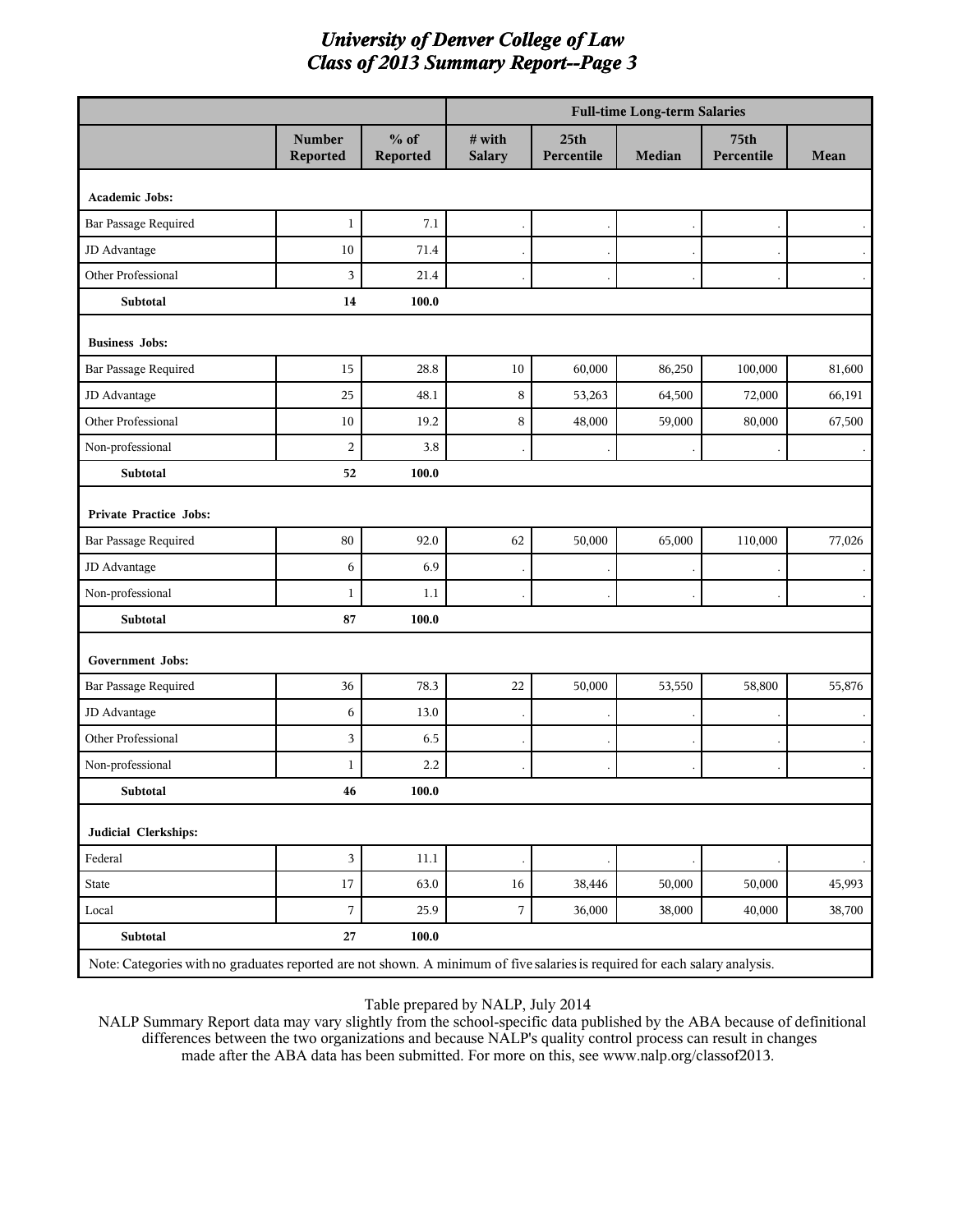|                                                                                                                             |                           |                    | <b>Full-time Long-term Salaries</b> |                                |               |                           |        |  |
|-----------------------------------------------------------------------------------------------------------------------------|---------------------------|--------------------|-------------------------------------|--------------------------------|---------------|---------------------------|--------|--|
|                                                                                                                             | <b>Number</b><br>Reported | $%$ of<br>Reported | $#$ with<br><b>Salary</b>           | 25 <sub>th</sub><br>Percentile | <b>Median</b> | <b>75th</b><br>Percentile | Mean   |  |
| Academic Jobs:                                                                                                              |                           |                    |                                     |                                |               |                           |        |  |
| Bar Passage Required                                                                                                        | $\mathbf{1}$              | 7.1                |                                     |                                |               |                           |        |  |
| JD Advantage                                                                                                                | 10                        | 71.4               |                                     |                                |               |                           |        |  |
| Other Professional                                                                                                          | 3                         | 21.4               |                                     |                                |               |                           |        |  |
| Subtotal                                                                                                                    | 14                        | 100.0              |                                     |                                |               |                           |        |  |
| <b>Business Jobs:</b>                                                                                                       |                           |                    |                                     |                                |               |                           |        |  |
| Bar Passage Required                                                                                                        | 15                        | 28.8               | 10                                  | 60,000                         | 86,250        | 100,000                   | 81,600 |  |
| JD Advantage                                                                                                                | 25                        | 48.1               | $\,$ 8 $\,$                         | 53,263                         | 64,500        | 72,000                    | 66,191 |  |
| Other Professional                                                                                                          | 10                        | 19.2               | $\,$ 8 $\,$                         | 48,000                         | 59,000        | 80,000                    | 67,500 |  |
| Non-professional                                                                                                            | $\overline{c}$            | 3.8                |                                     |                                |               |                           |        |  |
| Subtotal                                                                                                                    | 52                        | 100.0              |                                     |                                |               |                           |        |  |
| Private Practice Jobs:                                                                                                      |                           |                    |                                     |                                |               |                           |        |  |
| Bar Passage Required                                                                                                        | $80\,$                    | 92.0               | 62                                  | 50,000                         | 65,000        | 110,000                   | 77,026 |  |
| JD Advantage                                                                                                                | 6                         | 6.9                |                                     |                                |               |                           |        |  |
| Non-professional                                                                                                            | $\mathbf{1}$              | 1.1                |                                     |                                |               |                           |        |  |
| Subtotal                                                                                                                    | 87                        | 100.0              |                                     |                                |               |                           |        |  |
| Government Jobs:                                                                                                            |                           |                    |                                     |                                |               |                           |        |  |
| Bar Passage Required                                                                                                        | 36                        | 78.3               | 22                                  | 50,000                         | 53,550        | 58,800                    | 55,876 |  |
| JD Advantage                                                                                                                | 6                         | 13.0               |                                     |                                |               |                           |        |  |
| Other Professional                                                                                                          | 3                         | 6.5                |                                     |                                |               |                           |        |  |
| Non-professional                                                                                                            | $\mathbf{1}$              | 2.2                |                                     |                                |               |                           |        |  |
| Subtotal                                                                                                                    | 46                        | $\bf 100.0$        |                                     |                                |               |                           |        |  |
| Judicial Clerkships:                                                                                                        |                           |                    |                                     |                                |               |                           |        |  |
| Federal                                                                                                                     | $\overline{3}$            | $11.1\,$           |                                     |                                |               |                           |        |  |
| State                                                                                                                       | $17\,$                    | 63.0               | $16\,$                              | 38,446                         | 50,000        | 50,000                    | 45,993 |  |
| Local                                                                                                                       | $\boldsymbol{7}$          | 25.9               | $\sqrt{ }$                          | 36,000                         | 38,000        | 40,000                    | 38,700 |  |
| Subtotal                                                                                                                    | $\bf 27$                  | 100.0              |                                     |                                |               |                           |        |  |
| Note: Categories with no graduates reported are not shown. A minimum of five salaries is required for each salary analysis. |                           |                    |                                     |                                |               |                           |        |  |

#### Table prepared by NALP, July 2014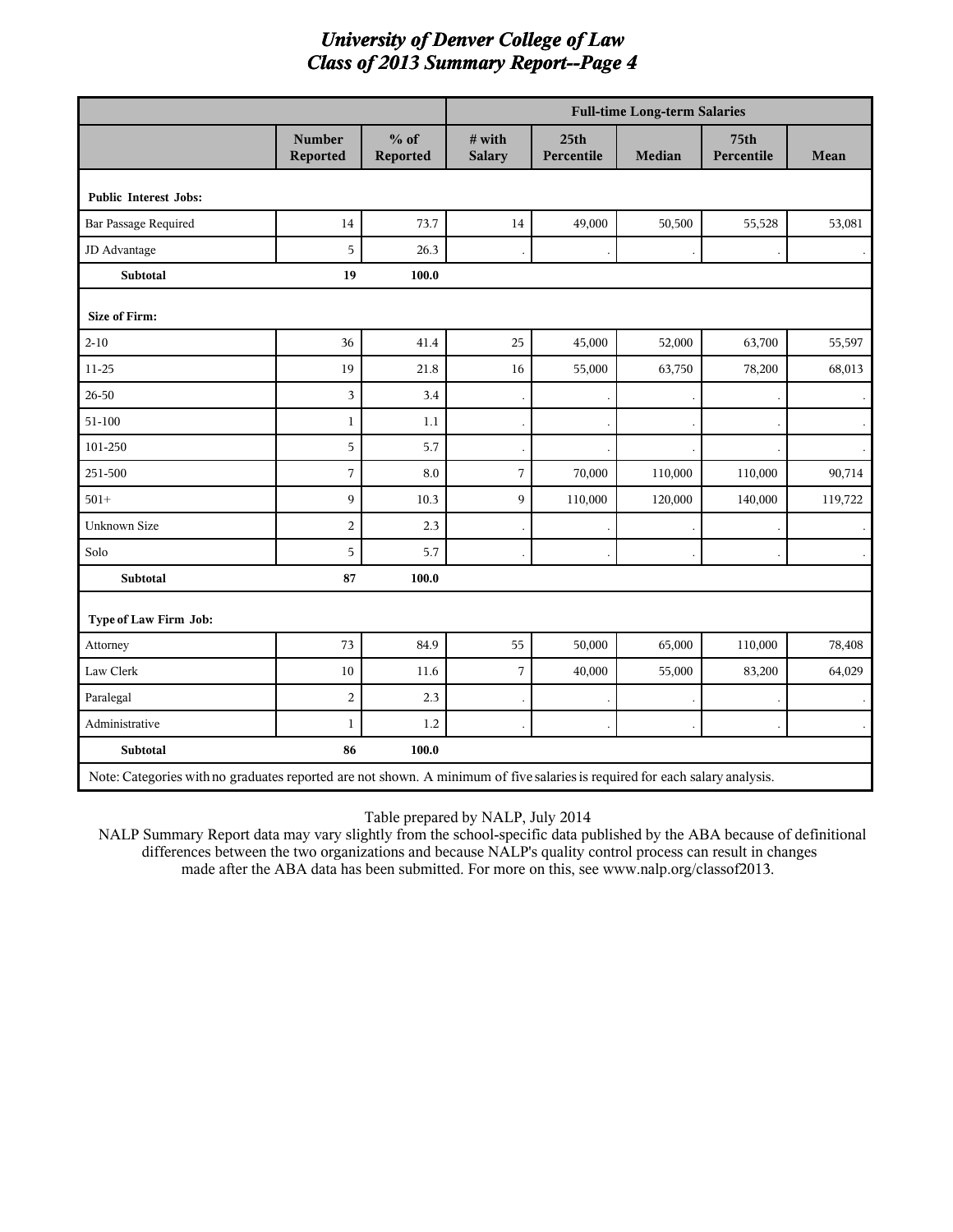|                              |                                                                                                                             |                    | <b>Full-time Long-term Salaries</b> |                                |         |                    |         |  |
|------------------------------|-----------------------------------------------------------------------------------------------------------------------------|--------------------|-------------------------------------|--------------------------------|---------|--------------------|---------|--|
|                              | <b>Number</b><br>Reported                                                                                                   | $%$ of<br>Reported | # with<br><b>Salary</b>             | 25 <sub>th</sub><br>Percentile | Median  | 75th<br>Percentile | Mean    |  |
| <b>Public Interest Jobs:</b> |                                                                                                                             |                    |                                     |                                |         |                    |         |  |
| <b>Bar Passage Required</b>  | 14                                                                                                                          | 73.7               | 14                                  | 49,000                         | 50,500  | 55,528             | 53,081  |  |
| JD Advantage                 | 5                                                                                                                           | 26.3               |                                     |                                |         |                    |         |  |
| <b>Subtotal</b>              | 19                                                                                                                          | 100.0              |                                     |                                |         |                    |         |  |
| <b>Size of Firm:</b>         |                                                                                                                             |                    |                                     |                                |         |                    |         |  |
| $2 - 10$                     | 36                                                                                                                          | 41.4               | 25                                  | 45,000                         | 52,000  | 63,700             | 55,597  |  |
| 11-25                        | 19                                                                                                                          | 21.8               | 16                                  | 55,000                         | 63,750  | 78,200             | 68,013  |  |
| $26 - 50$                    | 3                                                                                                                           | 3.4                |                                     |                                |         |                    |         |  |
| $51 - 100$                   | $\mathbf{1}$                                                                                                                | 1.1                |                                     |                                |         |                    |         |  |
| 101-250                      | 5                                                                                                                           | 5.7                |                                     |                                |         |                    |         |  |
| 251-500                      | 7                                                                                                                           | 8.0                | $\overline{7}$                      | 70,000                         | 110,000 | 110,000            | 90,714  |  |
| $501 +$                      | 9                                                                                                                           | 10.3               | 9                                   | 110,000                        | 120,000 | 140,000            | 119,722 |  |
| <b>Unknown Size</b>          | $\overline{2}$                                                                                                              | 2.3                |                                     |                                |         |                    |         |  |
| Solo                         | 5                                                                                                                           | 5.7                |                                     |                                |         |                    |         |  |
| Subtotal                     | 87                                                                                                                          | 100.0              |                                     |                                |         |                    |         |  |
| Type of Law Firm Job:        |                                                                                                                             |                    |                                     |                                |         |                    |         |  |
| Attorney                     | 73                                                                                                                          | 84.9               | 55                                  | 50,000                         | 65,000  | 110,000            | 78,408  |  |
| Law Clerk                    | 10                                                                                                                          | 11.6               | 7                                   | 40,000                         | 55,000  | 83,200             | 64,029  |  |
| Paralegal                    | $\overline{2}$                                                                                                              | 2.3                |                                     |                                |         |                    |         |  |
| Administrative               | $\mathbf{1}$                                                                                                                | 1.2                |                                     |                                |         |                    |         |  |
| Subtotal                     | 86                                                                                                                          | 100.0              |                                     |                                |         |                    |         |  |
|                              | Note: Categories with no graduates reported are not shown. A minimum of five salaries is required for each salary analysis. |                    |                                     |                                |         |                    |         |  |

Table prepared by NALP, July 2014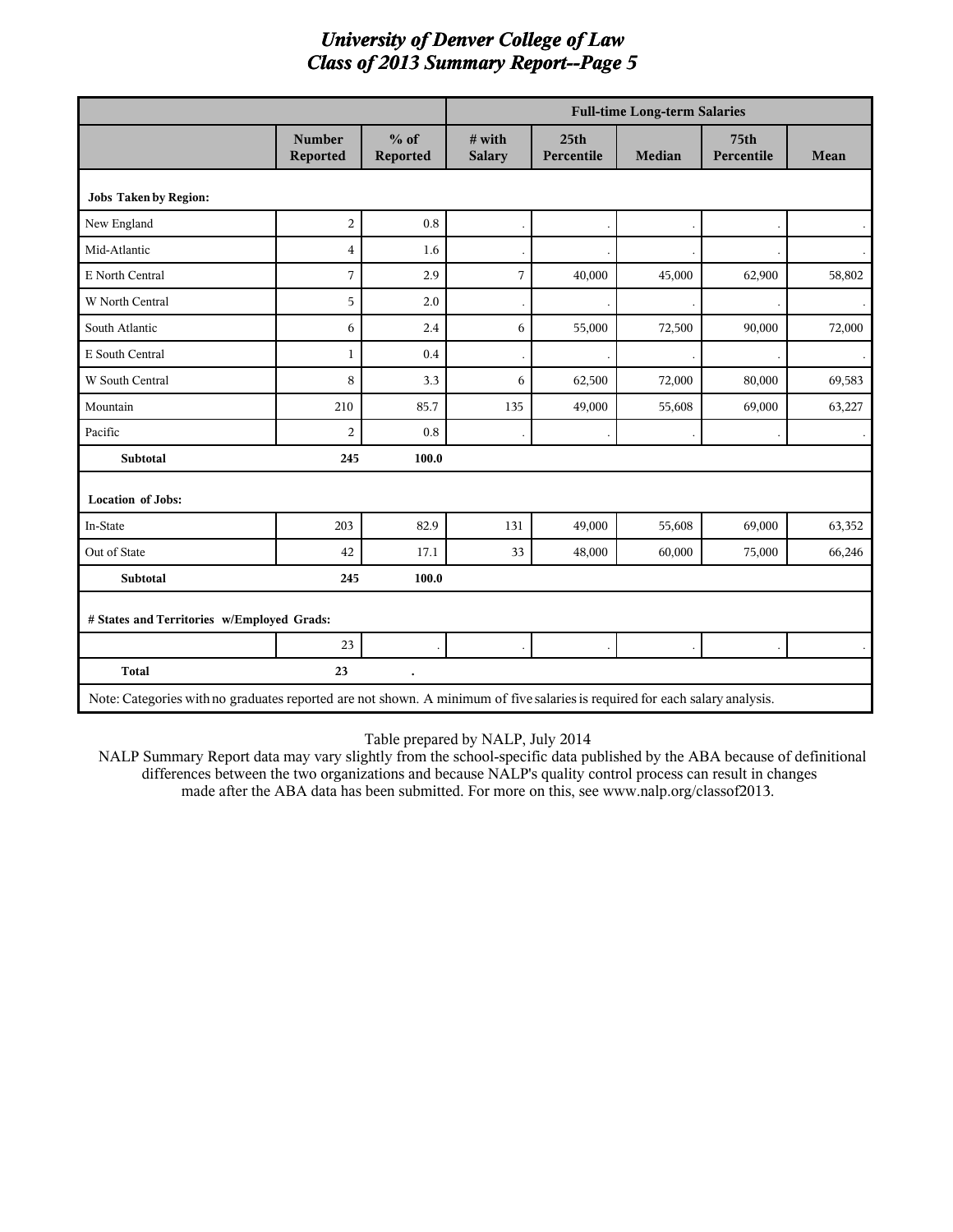|                                                                                                                             |                           |                      |                           |                                | <b>Full-time Long-term Salaries</b> |                                |             |
|-----------------------------------------------------------------------------------------------------------------------------|---------------------------|----------------------|---------------------------|--------------------------------|-------------------------------------|--------------------------------|-------------|
|                                                                                                                             | <b>Number</b><br>Reported | $%$ of<br>Reported   | $#$ with<br><b>Salary</b> | 25 <sub>th</sub><br>Percentile | Median                              | 75 <sub>th</sub><br>Percentile | <b>Mean</b> |
| <b>Jobs Taken by Region:</b>                                                                                                |                           |                      |                           |                                |                                     |                                |             |
| New England                                                                                                                 | $\overline{2}$            | $\rm 0.8$            |                           |                                |                                     |                                |             |
| Mid-Atlantic                                                                                                                | $\overline{4}$            | 1.6                  |                           |                                |                                     |                                |             |
| E North Central                                                                                                             | 7                         | 2.9                  | 7                         | 40,000                         | 45,000                              | 62,900                         | 58,802      |
| W North Central                                                                                                             | 5                         | 2.0                  |                           |                                |                                     |                                |             |
| South Atlantic                                                                                                              | 6                         | 2.4                  | 6                         | 55,000                         | 72,500                              | 90,000                         | 72,000      |
| E South Central                                                                                                             | $\mathbf{1}$              | 0.4                  |                           |                                |                                     |                                |             |
| W South Central                                                                                                             | 8                         | 3.3                  | 6                         | 62,500                         | 72,000                              | 80,000                         | 69,583      |
| Mountain                                                                                                                    | 210                       | 85.7                 | 135                       | 49,000                         | 55,608                              | 69,000                         | 63,227      |
| Pacific                                                                                                                     | $\overline{2}$            | 0.8                  |                           |                                |                                     |                                |             |
| <b>Subtotal</b>                                                                                                             | 245                       | 100.0                |                           |                                |                                     |                                |             |
| <b>Location of Jobs:</b>                                                                                                    |                           |                      |                           |                                |                                     |                                |             |
| In-State                                                                                                                    | 203                       | 82.9                 | 131                       | 49,000                         | 55,608                              | 69,000                         | 63,352      |
| Out of State                                                                                                                | 42                        | 17.1                 | 33                        | 48,000                         | 60,000                              | 75,000                         | 66,246      |
| <b>Subtotal</b>                                                                                                             | 245                       | 100.0                |                           |                                |                                     |                                |             |
| # States and Territories w/Employed Grads:                                                                                  |                           |                      |                           |                                |                                     |                                |             |
|                                                                                                                             | 23                        |                      |                           |                                |                                     |                                |             |
| <b>Total</b>                                                                                                                | 23                        | $\ddot{\phantom{0}}$ |                           |                                |                                     |                                |             |
| Note: Categories with no graduates reported are not shown. A minimum of five salaries is required for each salary analysis. |                           |                      |                           |                                |                                     |                                |             |

#### Table prepared by NALP, July 2014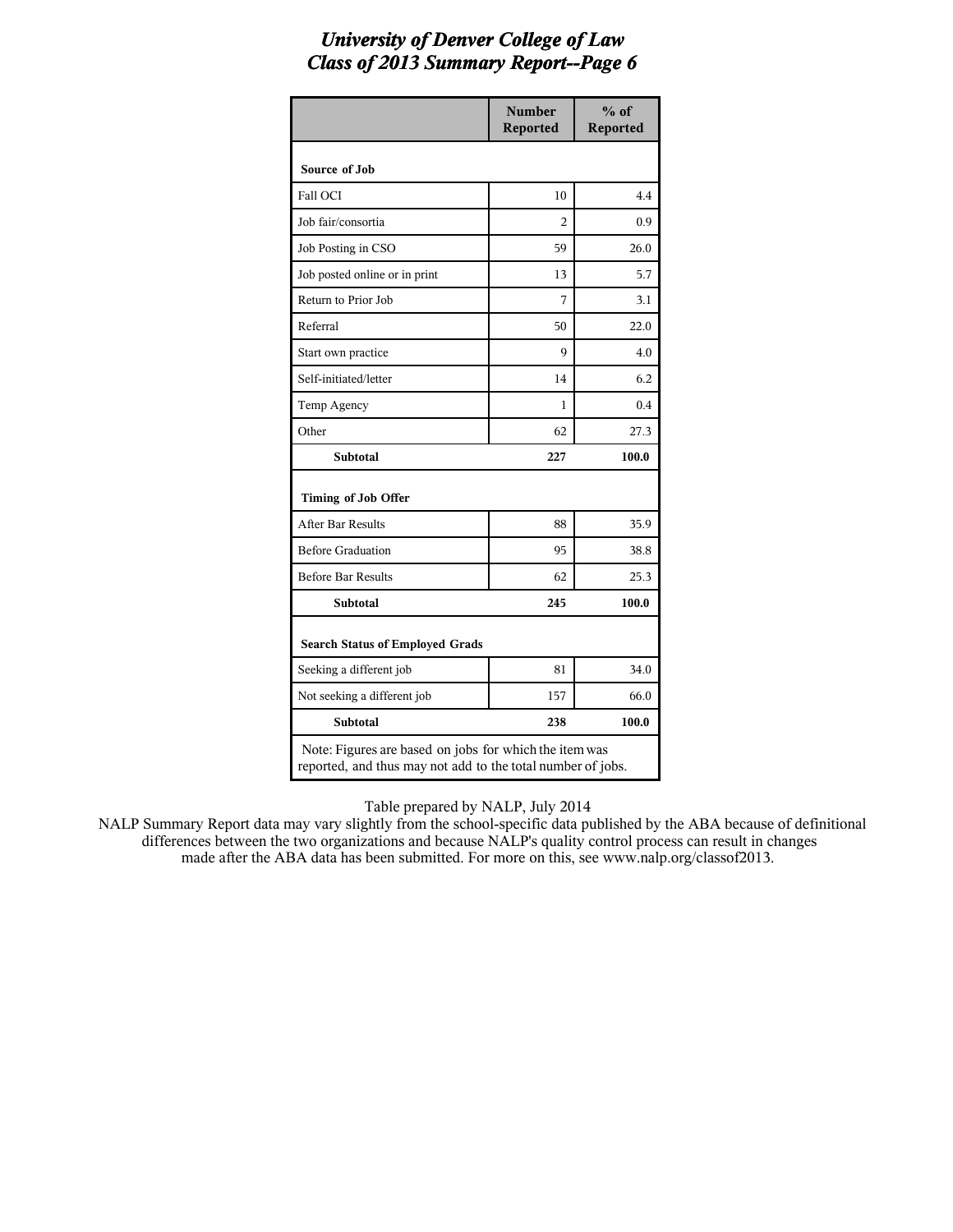|                                                                                                                       | <b>Number</b><br>Reported | $%$ of<br><b>Reported</b> |
|-----------------------------------------------------------------------------------------------------------------------|---------------------------|---------------------------|
| Source of Job                                                                                                         |                           |                           |
| Fall OCI                                                                                                              | 10                        | 4.4                       |
| Job fair/consortia                                                                                                    | 2                         | 0.9                       |
| Job Posting in CSO                                                                                                    | 59                        | 26.0                      |
| Job posted online or in print                                                                                         | 13                        | 5.7                       |
| Return to Prior Job                                                                                                   | 7                         | 3.1                       |
| Referral                                                                                                              | 50                        | 22.0                      |
| Start own practice                                                                                                    | 9                         | 4.0                       |
| Self-initiated/letter                                                                                                 | 14                        | 6.2                       |
| Temp Agency                                                                                                           | 1                         | 0.4                       |
| Other                                                                                                                 | 62                        | 27.3                      |
| <b>Subtotal</b>                                                                                                       | 227                       | 100.0                     |
| Timing of Job Offer                                                                                                   |                           |                           |
| After Bar Results                                                                                                     | 88                        | 35.9                      |
| <b>Before Graduation</b>                                                                                              | 95                        | 38.8                      |
| <b>Before Bar Results</b>                                                                                             | 62                        | 25.3                      |
| <b>Subtotal</b>                                                                                                       | 245                       | 100.0                     |
| <b>Search Status of Employed Grads</b>                                                                                |                           |                           |
| Seeking a different job                                                                                               | 81                        | 34.0                      |
| Not seeking a different job                                                                                           | 157                       | 66.0                      |
| <b>Subtotal</b>                                                                                                       | 238                       | 100.0                     |
| Note: Figures are based on jobs for which the item was<br>reported, and thus may not add to the total number of jobs. |                           |                           |

Table prepared by NALP, July 2014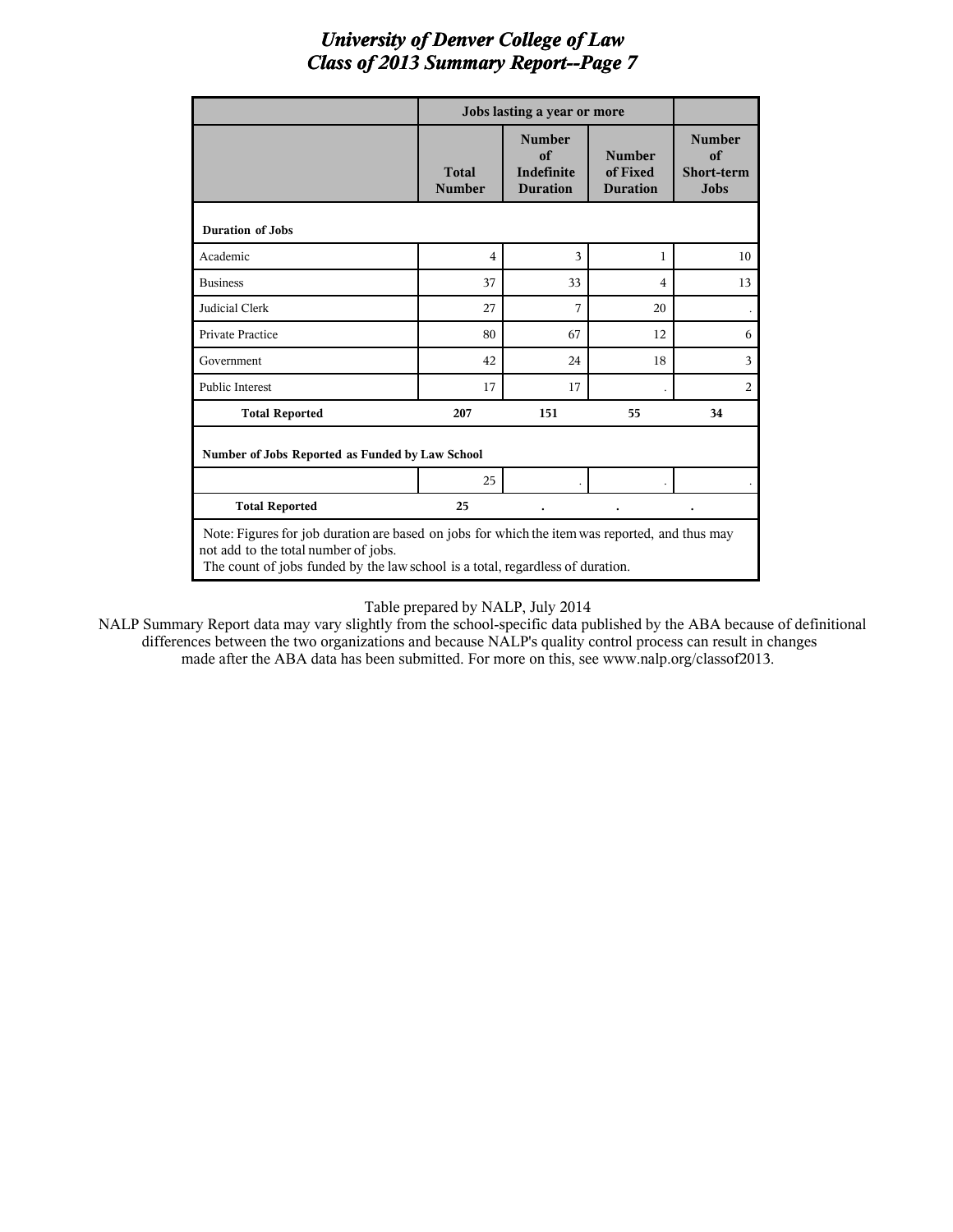|                                                                                                                                                                                                                          |                               | Jobs lasting a year or more                                 |                                              |                                                         |  |  |
|--------------------------------------------------------------------------------------------------------------------------------------------------------------------------------------------------------------------------|-------------------------------|-------------------------------------------------------------|----------------------------------------------|---------------------------------------------------------|--|--|
|                                                                                                                                                                                                                          | <b>Total</b><br><b>Number</b> | <b>Number</b><br>of<br><b>Indefinite</b><br><b>Duration</b> | <b>Number</b><br>of Fixed<br><b>Duration</b> | <b>Number</b><br>of<br><b>Short-term</b><br><b>Jobs</b> |  |  |
| <b>Duration of Jobs</b>                                                                                                                                                                                                  |                               |                                                             |                                              |                                                         |  |  |
| Academic                                                                                                                                                                                                                 | 4                             | 3                                                           | 1                                            | 10                                                      |  |  |
| <b>Business</b>                                                                                                                                                                                                          | 37                            | 33                                                          | $\overline{\mathbf{4}}$                      | 13                                                      |  |  |
| Judicial Clerk                                                                                                                                                                                                           | 27                            | 7                                                           | 20                                           |                                                         |  |  |
| <b>Private Practice</b>                                                                                                                                                                                                  | 80                            | 67                                                          | 12                                           | 6                                                       |  |  |
| Government                                                                                                                                                                                                               | 42                            | 24                                                          | 18                                           | 3                                                       |  |  |
| <b>Public Interest</b>                                                                                                                                                                                                   | 17                            | 17                                                          |                                              | $\overline{2}$                                          |  |  |
| <b>Total Reported</b>                                                                                                                                                                                                    | 207                           | 151                                                         | 55                                           | 34                                                      |  |  |
| Number of Jobs Reported as Funded by Law School                                                                                                                                                                          |                               |                                                             |                                              |                                                         |  |  |
|                                                                                                                                                                                                                          | 25                            |                                                             |                                              |                                                         |  |  |
| <b>Total Reported</b>                                                                                                                                                                                                    | 25                            |                                                             |                                              |                                                         |  |  |
| Note: Figures for job duration are based on jobs for which the item was reported, and thus may<br>not add to the total number of jobs.<br>The count of jobs funded by the law school is a total, regardless of duration. |                               |                                                             |                                              |                                                         |  |  |

#### Table prepared by NALP, July 2014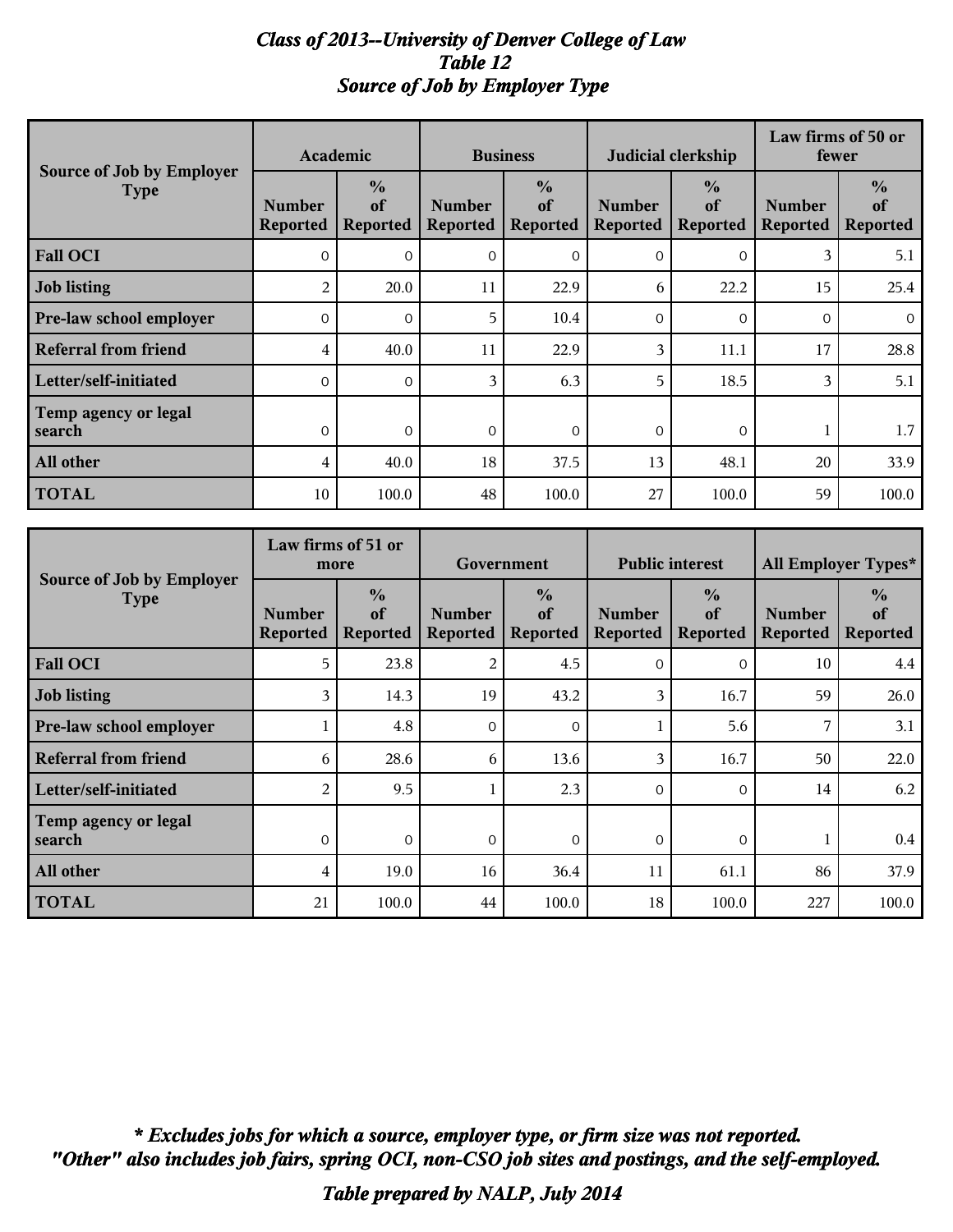#### *Class of 2013--University of Denver College of Law Table 12 Source of Job by Employer Type*

|                                          |                                  | Academic                               | <b>Business</b>                  |                                        | Judicial clerkship               |                                        |                                  | Law firms of 50 or<br>fewer            |
|------------------------------------------|----------------------------------|----------------------------------------|----------------------------------|----------------------------------------|----------------------------------|----------------------------------------|----------------------------------|----------------------------------------|
| Source of Job by Employer<br><b>Type</b> | <b>Number</b><br><b>Reported</b> | $\frac{0}{0}$<br>of<br><b>Reported</b> | <b>Number</b><br><b>Reported</b> | $\frac{0}{0}$<br>of<br><b>Reported</b> | <b>Number</b><br><b>Reported</b> | $\frac{0}{0}$<br>of<br><b>Reported</b> | <b>Number</b><br><b>Reported</b> | $\frac{0}{0}$<br>of<br><b>Reported</b> |
| <b>Fall OCI</b>                          | $\Omega$                         | $\Omega$                               | $\Omega$                         | $\Omega$                               | $\Omega$                         | $\Omega$                               | 3                                | 5.1                                    |
| <b>Job</b> listing                       | 2                                | 20.0                                   | 11                               | 22.9                                   | 6                                | 22.2                                   | 15                               | 25.4                                   |
| Pre-law school employer                  | $\Omega$                         | $\Omega$                               | 5                                | 10.4                                   | $\Omega$                         | $\Omega$                               | $\Omega$                         | $\overline{O}$                         |
| Referral from friend                     | 4                                | 40.0                                   | 11                               | 22.9                                   | 3                                | 11.1                                   | 17                               | 28.8                                   |
| Letter/self-initiated                    | $\Omega$                         | $\Omega$                               | 3                                | 6.3                                    | 5                                | 18.5                                   | 3                                | 5.1                                    |
| Temp agency or legal<br>search           | $\Omega$                         | $\Omega$                               | $\Omega$                         | $\Omega$                               | $\Omega$                         | $\Omega$                               |                                  | 1.7                                    |
| All other                                | 4                                | 40.0                                   | 18                               | 37.5                                   | 13                               | 48.1                                   | 20                               | 33.9                                   |
| <b>TOTAL</b>                             | 10                               | 100.0                                  | 48                               | 100.0                                  | 27                               | 100.0                                  | 59                               | 100.0                                  |

| Source of Job by Employer      |                                  | Law firms of 51 or<br>more             | Government                       |                                        | <b>Public interest</b>    |                                        |                                  | All Employer Types*                    |
|--------------------------------|----------------------------------|----------------------------------------|----------------------------------|----------------------------------------|---------------------------|----------------------------------------|----------------------------------|----------------------------------------|
| <b>Type</b>                    | <b>Number</b><br><b>Reported</b> | $\frac{0}{0}$<br>of<br><b>Reported</b> | <b>Number</b><br><b>Reported</b> | $\frac{0}{0}$<br>of<br><b>Reported</b> | <b>Number</b><br>Reported | $\frac{0}{0}$<br>of<br><b>Reported</b> | <b>Number</b><br><b>Reported</b> | $\frac{0}{0}$<br>of<br><b>Reported</b> |
| <b>Fall OCI</b>                | 5                                | 23.8                                   | 2                                | 4.5                                    | $\Omega$                  | $\Omega$                               | 10                               | 4.4                                    |
| <b>Job listing</b>             | 3                                | 14.3                                   | 19                               | 43.2                                   | 3                         | 16.7                                   | 59                               | 26.0                                   |
| Pre-law school employer        |                                  | 4.8                                    | $\Omega$                         | $\Omega$                               |                           | 5.6                                    |                                  | 3.1                                    |
| <b>Referral from friend</b>    | 6                                | 28.6                                   | 6                                | 13.6                                   | 3                         | 16.7                                   | 50                               | 22.0                                   |
| Letter/self-initiated          | $\overline{2}$                   | 9.5                                    |                                  | 2.3                                    | $\Omega$                  | $\Omega$                               | 14                               | 6.2                                    |
| Temp agency or legal<br>search | $\overline{0}$                   | $\overline{0}$                         | $\overline{0}$                   | $\overline{0}$                         | $\overline{0}$            | $\overline{0}$                         |                                  | $0.4\,$                                |
| All other                      | 4                                | 19.0                                   | 16                               | 36.4                                   | 11                        | 61.1                                   | 86                               | 37.9                                   |
| <b>TOTAL</b>                   | 21                               | 100.0                                  | 44                               | 100.0                                  | 18                        | 100.0                                  | 227                              | 100.0                                  |

*"Other" also includes job fairs, spring OCI, non-CSO job sites and postings, and the self-employed. \* Excludes jobs for which a source, employer type, or firm size was not reported.*

*Table prepared by NALP, July 2014*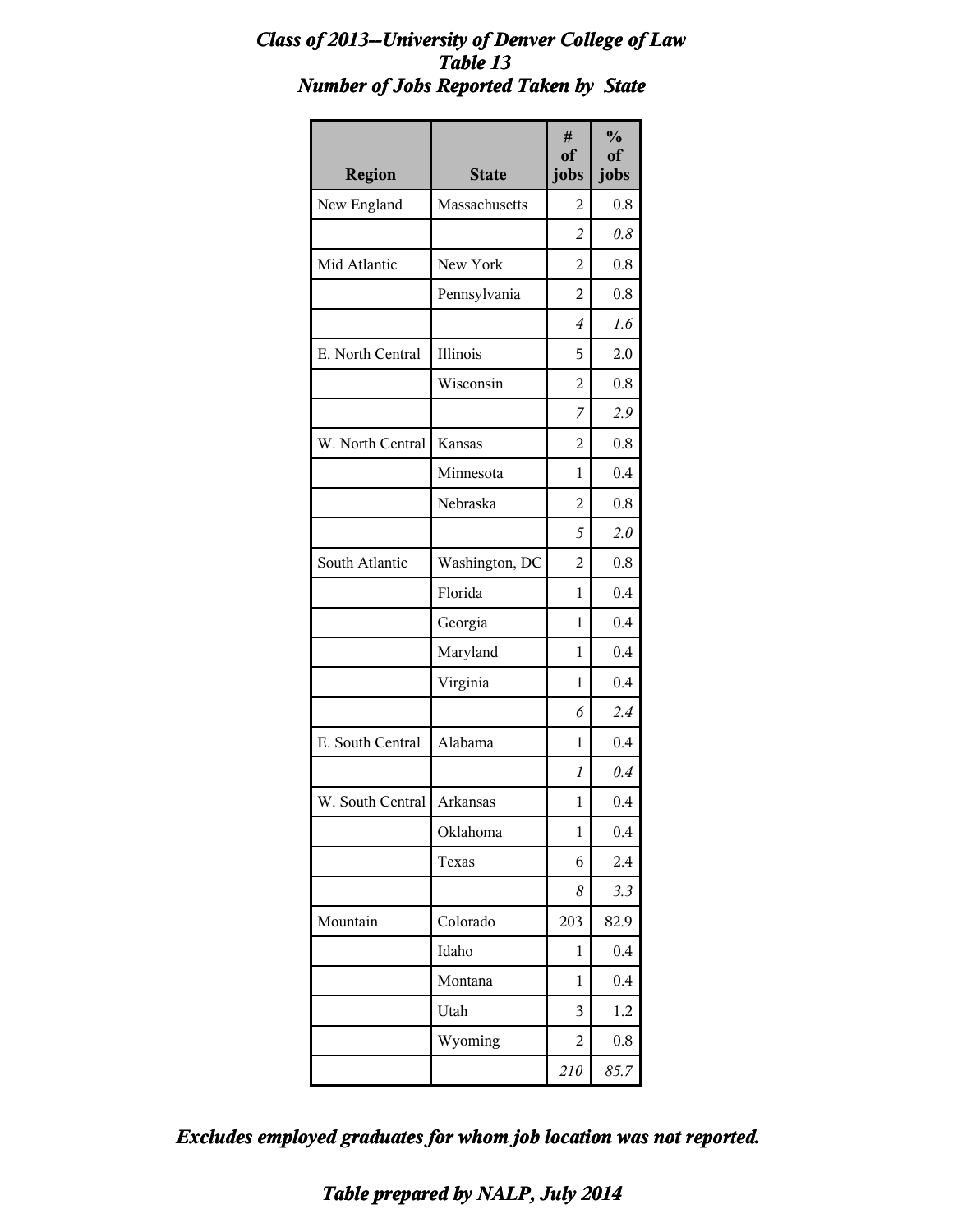#### *Class of 2013--University of Denver College of Law Table 13 Number of Jobs Reported Taken by State*

| <b>Region</b>               | <b>State</b>   | #<br>of<br>jobs | $\frac{0}{0}$<br><sub>of</sub><br>jobs |
|-----------------------------|----------------|-----------------|----------------------------------------|
| New England                 | Massachusetts  | $\mathfrak{D}$  | 0.8                                    |
|                             |                | $\overline{2}$  | 0.8                                    |
| Mid Atlantic                | New York       | 2               | 0.8                                    |
|                             | Pennsylvania   | 2               | 0.8                                    |
|                             |                | 4               | 1.6                                    |
| E. North Central            | Illinois       | 5               | 2.0                                    |
|                             | Wisconsin      | $\overline{2}$  | 0.8                                    |
|                             |                | 7               | 2.9                                    |
| W. North Central            | <b>Kansas</b>  | 2               | 0.8                                    |
|                             | Minnesota      | 1               | 0.4                                    |
|                             | Nebraska       | $\overline{2}$  | 0.8                                    |
|                             |                | 5               | 2.0                                    |
| South Atlantic              | Washington, DC | 2               | 0.8                                    |
|                             | Florida        | 1               | 0.4                                    |
|                             | Georgia        | 1               | 0.4                                    |
|                             | Maryland       | 1               | 0.4                                    |
|                             | Virginia       | 1               | 0.4                                    |
|                             |                | 6               | 2.4                                    |
| E. South Central            | Alabama        | 1               | 0.4                                    |
|                             |                | 1               | $0.4\,$                                |
| W. South Central   Arkansas |                | 1               | 0.4                                    |
|                             | Oklahoma       | $\mathbf{1}$    | 0.4                                    |
|                             | Texas          | 6               | 2.4                                    |
|                             |                | 8               | 3.3                                    |
| Mountain                    | Colorado       | 203             | 82.9                                   |
|                             | Idaho          | 1               | 0.4                                    |
|                             | Montana        | 1               | 0.4                                    |
|                             | Utah           | 3               | 1.2                                    |
|                             | Wyoming        | 2               | 0.8                                    |
|                             |                | 210             | 85.7                                   |

*Excludes employed graduates for whom job location was not reported.*

*Table prepared by NALP, July 2014*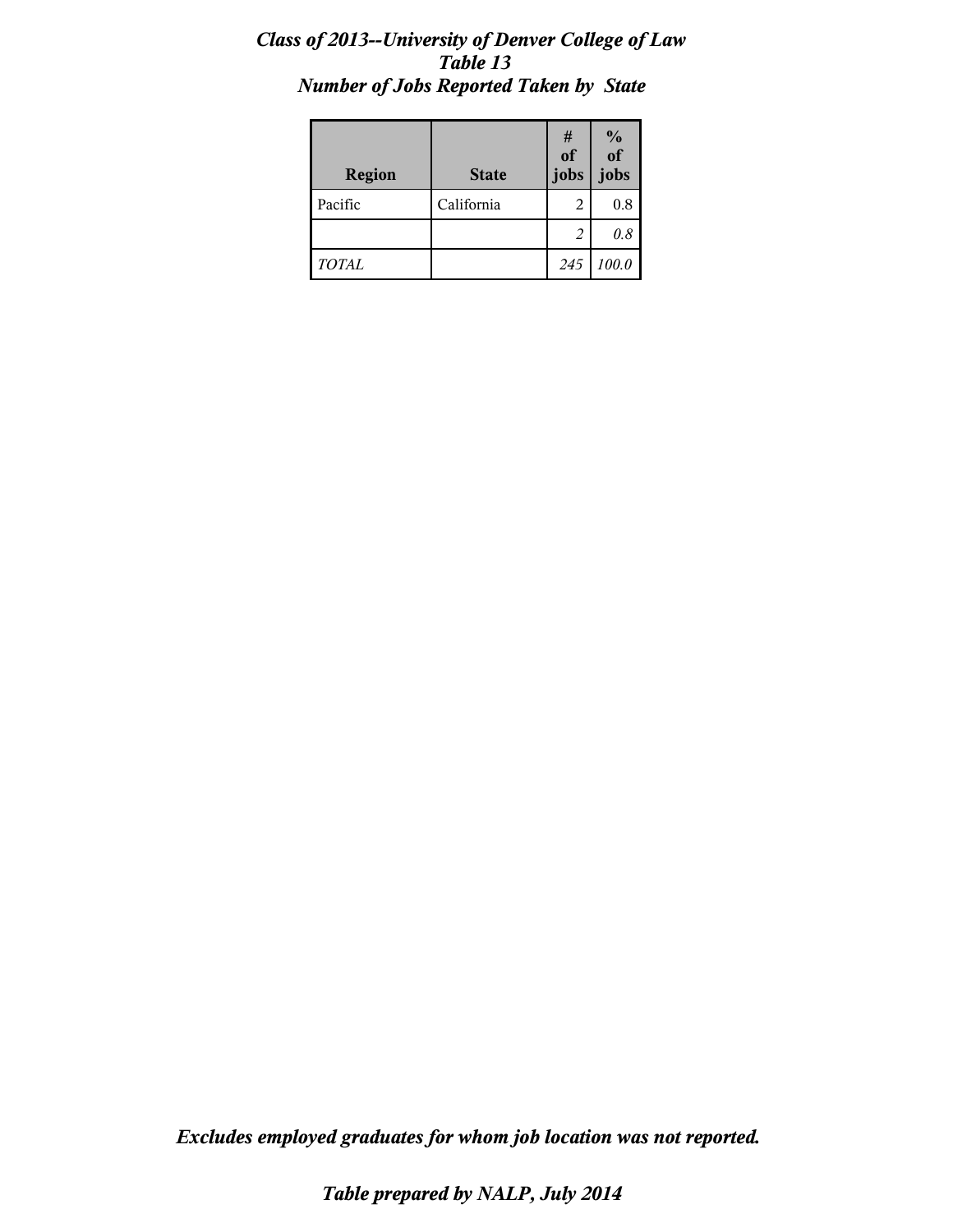### *Class of 2013--University of Denver College of Law Table 13 Number of Jobs Reported Taken by State*

| <b>Region</b> | <b>State</b> | #<br>of<br>jobs | $\frac{9}{6}$<br>jobs |
|---------------|--------------|-----------------|-----------------------|
| Pacific       | California   | 2               | 0.8                   |
|               |              | 2               | 0.8                   |
| <b>TOTAL</b>  |              | 245             | 100.0                 |

*Excludes employed graduates for whom job location was not reported.*

*Table prepared by NALP, July 2014*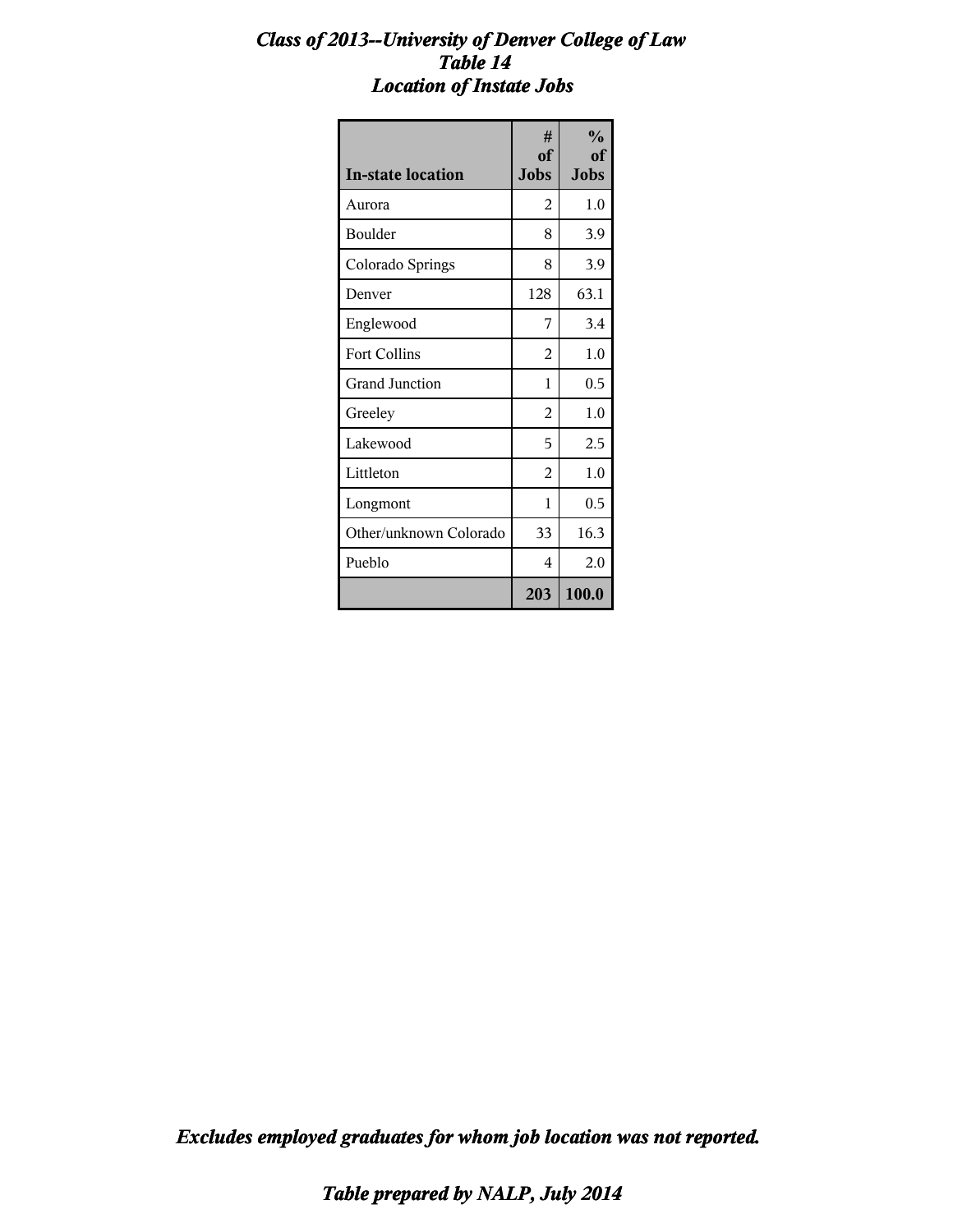### *Class of 2013--University of Denver College of Law Table 14 Location of Instate Jobs*

| <b>In-state location</b> | #<br>of<br><b>Jobs</b> | $\frac{0}{0}$<br>of<br><b>Jobs</b> |
|--------------------------|------------------------|------------------------------------|
| Aurora                   | 2                      | $1.0\,$                            |
| Boulder                  | 8                      | 3.9                                |
| Colorado Springs         | 8                      | 3.9                                |
| Denver                   | 128                    | 63.1                               |
| Englewood                | 7                      | 3.4                                |
| <b>Fort Collins</b>      | 2                      | 1.0                                |
| Grand Junction           | 1                      | 0.5                                |
| Greeley                  | $\overline{2}$         | 1.0                                |
| Lakewood                 | 5                      | 2.5                                |
| Littleton                | $\overline{2}$         | 1.0                                |
| Longmont                 | 1                      | 0.5                                |
| Other/unknown Colorado   | 33                     | 16.3                               |
| Pueblo                   | 4                      | 2.0                                |
|                          | 203                    | 100.0                              |

*Excludes employed graduates for whom job location was not reported.*